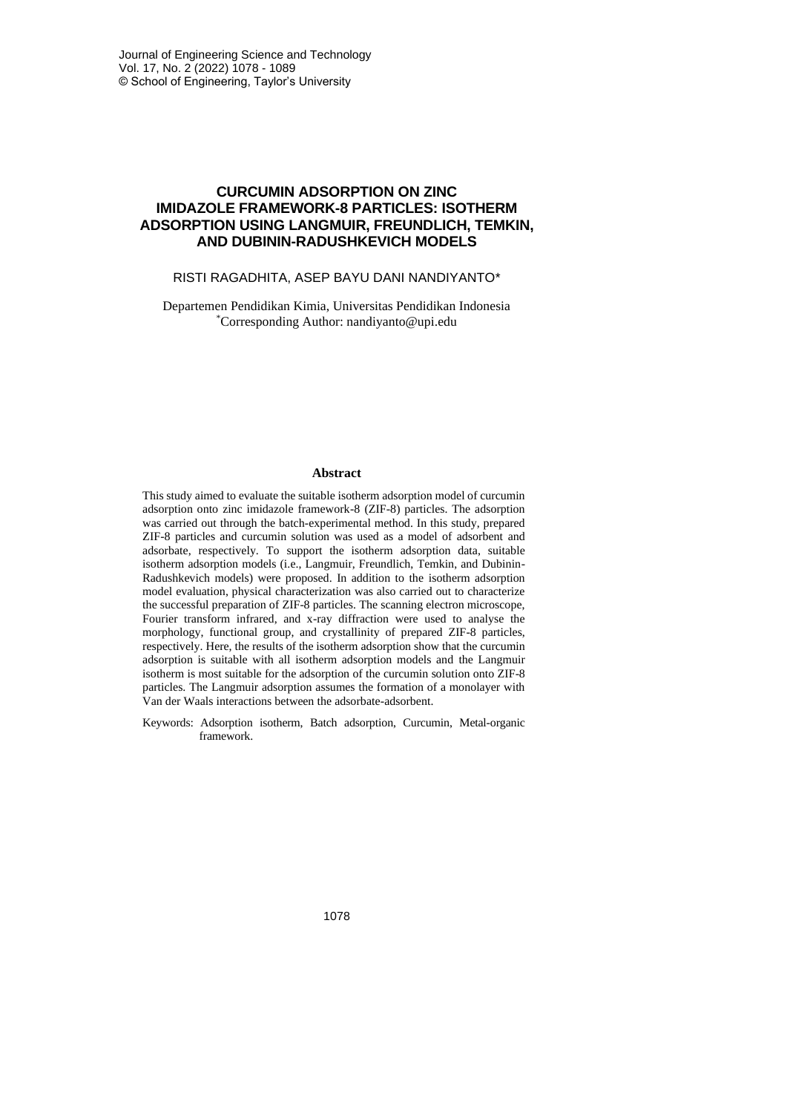# **CURCUMIN ADSORPTION ON ZINC IMIDAZOLE FRAMEWORK-8 PARTICLES: ISOTHERM ADSORPTION USING LANGMUIR, FREUNDLICH, TEMKIN, AND DUBININ-RADUSHKEVICH MODELS**

### RISTI RAGADHITA, ASEP BAYU DANI NANDIYANTO\*

Departemen Pendidikan Kimia, Universitas Pendidikan Indonesia \*Corresponding Author: nandiyanto@upi.edu

#### **Abstract**

This study aimed to evaluate the suitable isotherm adsorption model of curcumin adsorption onto zinc imidazole framework-8 (ZIF-8) particles. The adsorption was carried out through the batch-experimental method. In this study, prepared ZIF-8 particles and curcumin solution was used as a model of adsorbent and adsorbate, respectively. To support the isotherm adsorption data, suitable isotherm adsorption models (i.e., Langmuir, Freundlich, Temkin, and Dubinin-Radushkevich models) were proposed. In addition to the isotherm adsorption model evaluation, physical characterization was also carried out to characterize the successful preparation of ZIF-8 particles. The scanning electron microscope, Fourier transform infrared, and x-ray diffraction were used to analyse the morphology, functional group, and crystallinity of prepared ZIF-8 particles, respectively. Here, the results of the isotherm adsorption show that the curcumin adsorption is suitable with all isotherm adsorption models and the Langmuir isotherm is most suitable for the adsorption of the curcumin solution onto ZIF-8 particles. The Langmuir adsorption assumes the formation of a monolayer with Van der Waals interactions between the adsorbate-adsorbent.

Keywords: Adsorption isotherm, Batch adsorption, Curcumin, Metal-organic framework.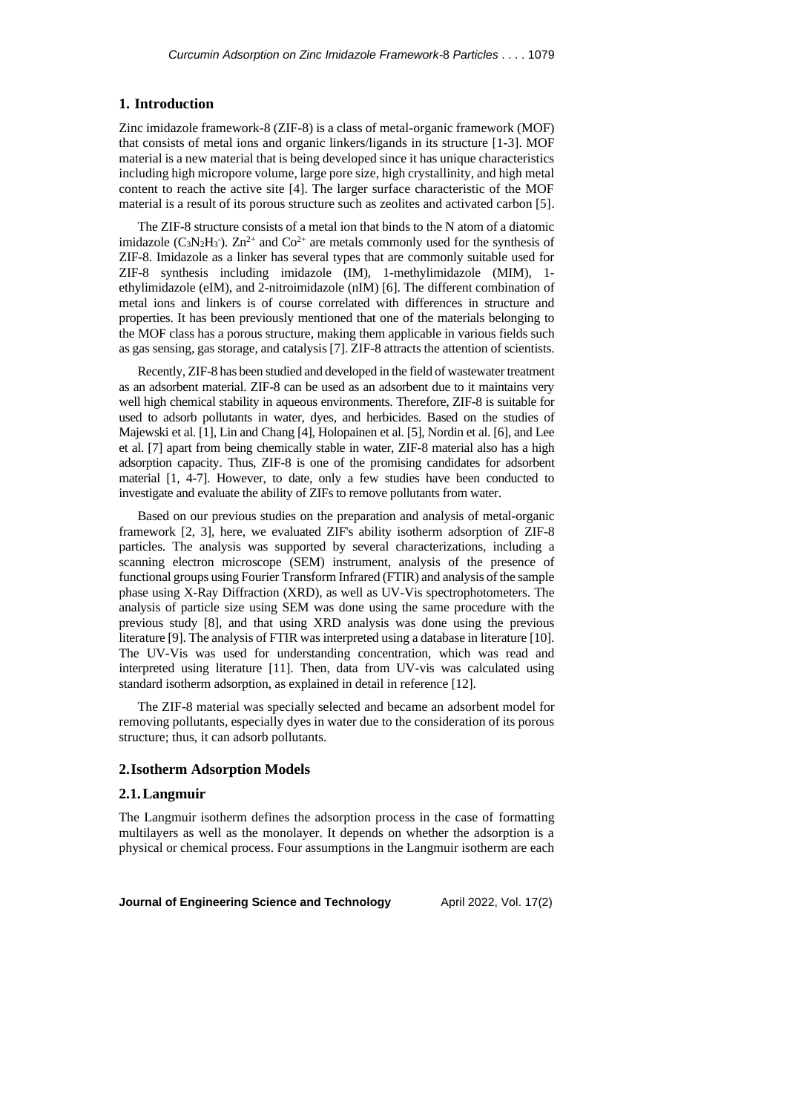### **1. Introduction**

Zinc imidazole framework-8 (ZIF-8) is a class of metal-organic framework (MOF) that consists of metal ions and organic linkers/ligands in its structure [1-3]. MOF material is a new material that is being developed since it has unique characteristics including high micropore volume, large pore size, high crystallinity, and high metal content to reach the active site [4]. The larger surface characteristic of the MOF material is a result of its porous structure such as zeolites and activated carbon [5].

The ZIF-8 structure consists of a metal ion that binds to the N atom of a diatomic imidazole ( $C_3N_2H_3$ ).  $Zn^{2+}$  and  $Co^{2+}$  are metals commonly used for the synthesis of ZIF-8. Imidazole as a linker has several types that are commonly suitable used for ZIF-8 synthesis including imidazole (IM), 1-methylimidazole (MIM), 1 ethylimidazole (eIM), and 2-nitroimidazole (nIM) [6]. The different combination of metal ions and linkers is of course correlated with differences in structure and properties. It has been previously mentioned that one of the materials belonging to the MOF class has a porous structure, making them applicable in various fields such as gas sensing, gas storage, and catalysis [7]. ZIF-8 attracts the attention of scientists.

Recently, ZIF-8 has been studied and developed in the field of wastewater treatment as an adsorbent material. ZIF-8 can be used as an adsorbent due to it maintains very well high chemical stability in aqueous environments. Therefore, ZIF-8 is suitable for used to adsorb pollutants in water, dyes, and herbicides. Based on the studies of Majewski et al. [1], Lin and Chang [4], Holopainen et al. [5], Nordin et al. [6], and Lee et al. [7] apart from being chemically stable in water, ZIF-8 material also has a high adsorption capacity. Thus, ZIF-8 is one of the promising candidates for adsorbent material [1, 4-7]. However, to date, only a few studies have been conducted to investigate and evaluate the ability of ZIFs to remove pollutants from water.

Based on our previous studies on the preparation and analysis of metal-organic framework [2, 3], here, we evaluated ZIF's ability isotherm adsorption of ZIF-8 particles. The analysis was supported by several characterizations, including a scanning electron microscope (SEM) instrument, analysis of the presence of functional groups using Fourier Transform Infrared (FTIR) and analysis of the sample phase using X-Ray Diffraction (XRD), as well as UV-Vis spectrophotometers. The analysis of particle size using SEM was done using the same procedure with the previous study [8], and that using XRD analysis was done using the previous literature [9]. The analysis of FTIR was interpreted using a database in literature [10]. The UV-Vis was used for understanding concentration, which was read and interpreted using literature [11]. Then, data from UV-vis was calculated using standard isotherm adsorption, as explained in detail in reference [12].

The ZIF-8 material was specially selected and became an adsorbent model for removing pollutants, especially dyes in water due to the consideration of its porous structure; thus, it can adsorb pollutants.

### **2.Isotherm Adsorption Models**

### **2.1.Langmuir**

The Langmuir isotherm defines the adsorption process in the case of formatting multilayers as well as the monolayer. It depends on whether the adsorption is a physical or chemical process. Four assumptions in the Langmuir isotherm are each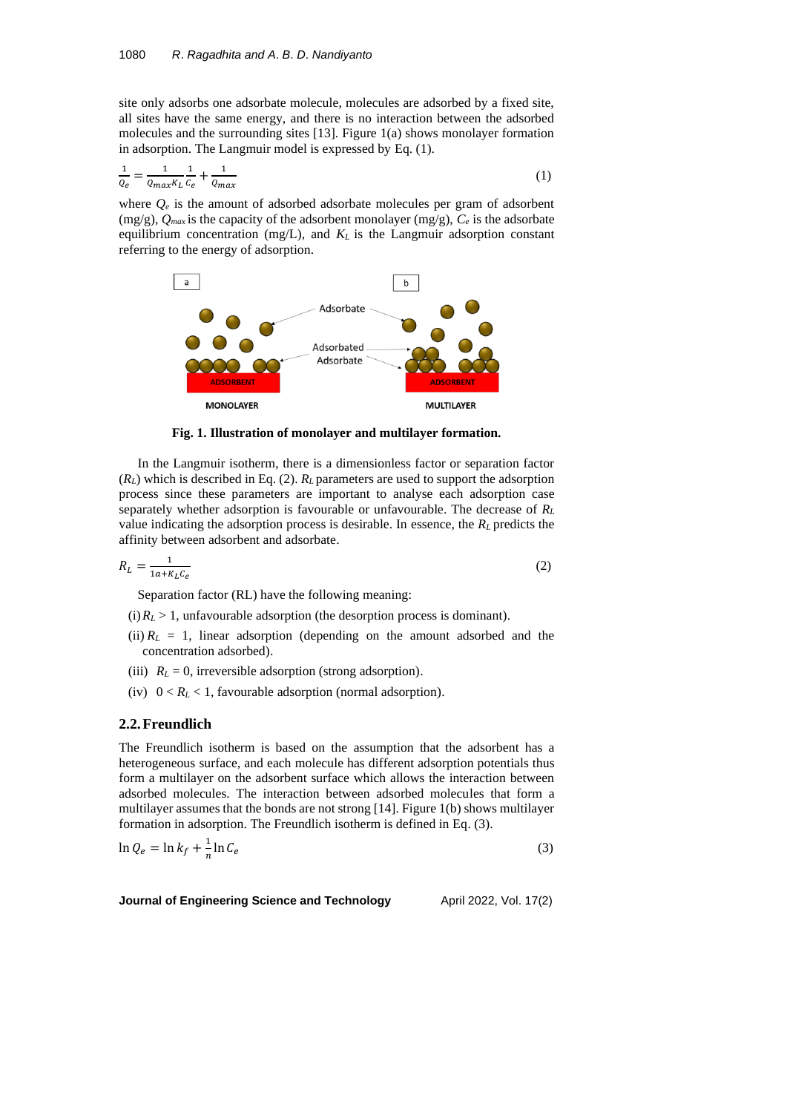site only adsorbs one adsorbate molecule, molecules are adsorbed by a fixed site, all sites have the same energy, and there is no interaction between the adsorbed molecules and the surrounding sites [13]. Figure 1(a) shows monolayer formation in adsorption. The Langmuir model is expressed by Eq. (1).

$$
\frac{1}{Q_e} = \frac{1}{Q_{max}K_L} \frac{1}{C_e} + \frac{1}{Q_{max}} \tag{1}
$$

where  $Q_e$  is the amount of adsorbed adsorbate molecules per gram of adsorbent (mg/g), *Qmax* is the capacity of the adsorbent monolayer (mg/g), *C<sup>e</sup>* is the adsorbate equilibrium concentration (mg/L), and  $K_L$  is the Langmuir adsorption constant referring to the energy of adsorption.



**Fig. 1. Illustration of monolayer and multilayer formation.**

In the Langmuir isotherm, there is a dimensionless factor or separation factor  $(R_L)$  which is described in Eq. (2).  $R_L$  parameters are used to support the adsorption process since these parameters are important to analyse each adsorption case separately whether adsorption is favourable or unfavourable. The decrease of *R<sup>L</sup>* value indicating the adsorption process is desirable. In essence, the *R<sup>L</sup>* predicts the affinity between adsorbent and adsorbate.

$$
R_L = \frac{1}{1a + K_L C_e} \tag{2}
$$

Separation factor (RL) have the following meaning:

(i)  $R_L > 1$ , unfavourable adsorption (the desorption process is dominant).

- (ii)  $R_L = 1$ , linear adsorption (depending on the amount adsorbed and the concentration adsorbed).
- (iii)  $R_L = 0$ , irreversible adsorption (strong adsorption).
- (iv)  $0 < R_L < 1$ , favourable adsorption (normal adsorption).

## **2.2.Freundlich**

The Freundlich isotherm is based on the assumption that the adsorbent has a heterogeneous surface, and each molecule has different adsorption potentials thus form a multilayer on the adsorbent surface which allows the interaction between adsorbed molecules. The interaction between adsorbed molecules that form a multilayer assumes that the bonds are not strong [14]. Figure 1(b) shows multilayer formation in adsorption. The Freundlich isotherm is defined in Eq. (3).

$$
\ln Q_e = \ln k_f + \frac{1}{n} \ln C_e \tag{3}
$$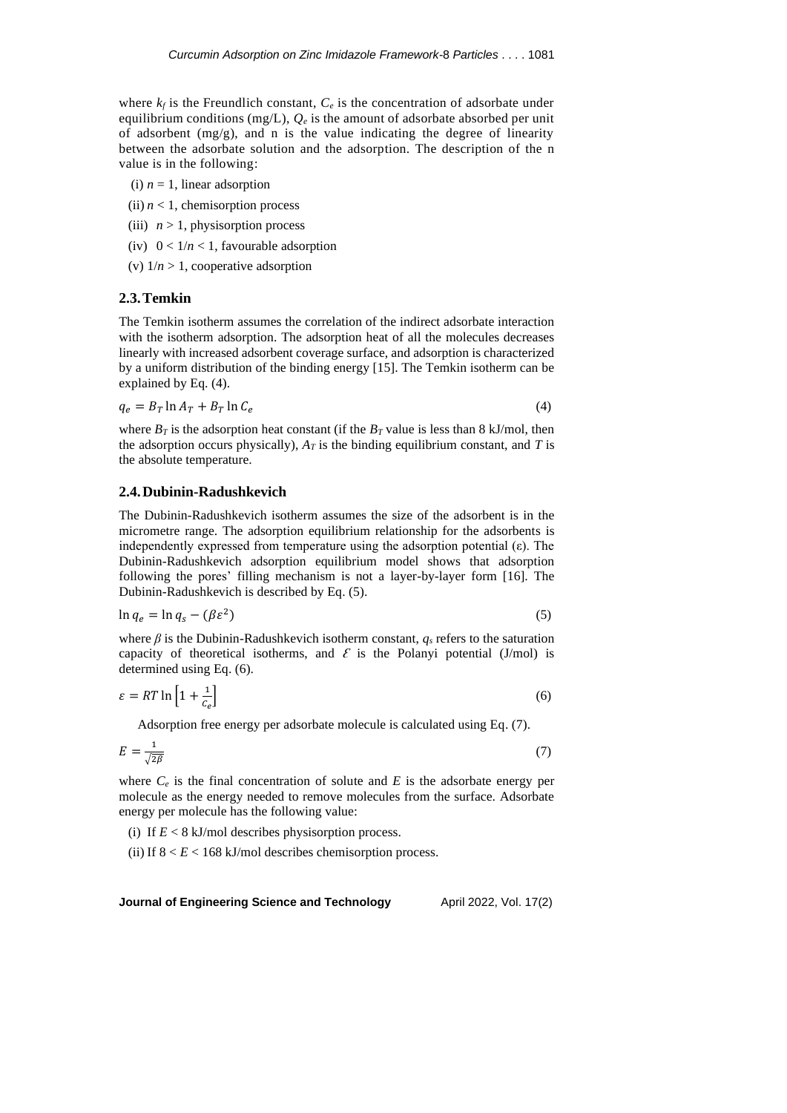where  $k_f$  is the Freundlich constant,  $C_e$  is the concentration of adsorbate under equilibrium conditions (mg/L),  $Q_e$  is the amount of adsorbate absorbed per unit of adsorbent  $(mg/g)$ , and n is the value indicating the degree of linearity between the adsorbate solution and the adsorption. The description of the n value is in the following:

- (i)  $n = 1$ , linear adsorption
- (ii)  $n < 1$ , chemisorption process
- (iii)  $n > 1$ , physisorption process
- (iv)  $0 < 1/n < 1$ , favourable adsorption
- (v)  $1/n > 1$ , cooperative adsorption

### **2.3.Temkin**

The Temkin isotherm assumes the correlation of the indirect adsorbate interaction with the isotherm adsorption. The adsorption heat of all the molecules decreases linearly with increased adsorbent coverage surface, and adsorption is characterized by a uniform distribution of the binding energy [15]. The Temkin isotherm can be explained by Eq. (4).

$$
q_e = B_T \ln A_T + B_T \ln C_e \tag{4}
$$

where  $B_T$  is the adsorption heat constant (if the  $B_T$  value is less than 8 kJ/mol, then the adsorption occurs physically),  $A_T$  is the binding equilibrium constant, and  $T$  is the absolute temperature.

## **2.4.Dubinin-Radushkevich**

The Dubinin-Radushkevich isotherm assumes the size of the adsorbent is in the micrometre range. The adsorption equilibrium relationship for the adsorbents is independently expressed from temperature using the adsorption potential  $(\epsilon)$ . The Dubinin-Radushkevich adsorption equilibrium model shows that adsorption following the pores' filling mechanism is not a layer-by-layer form [16]. The Dubinin-Radushkevich is described by Eq. (5).

$$
\ln q_e = \ln q_s - (\beta \varepsilon^2) \tag{5}
$$

where  $\beta$  is the Dubinin-Radushkevich isotherm constant,  $q_s$  refers to the saturation capacity of theoretical isotherms, and  $\mathcal E$  is the Polanyi potential (J/mol) is determined using Eq. (6).

$$
\varepsilon = RT \ln \left[ 1 + \frac{1}{c_e} \right] \tag{6}
$$

Adsorption free energy per adsorbate molecule is calculated using Eq. (7).

$$
E = \frac{1}{\sqrt{2\beta}}\tag{7}
$$

where  $C_e$  is the final concentration of solute and  $E$  is the adsorbate energy per molecule as the energy needed to remove molecules from the surface. Adsorbate energy per molecule has the following value:

(i) If  $E < 8$  kJ/mol describes physisorption process.

(ii) If  $8 < E < 168$  kJ/mol describes chemisorption process.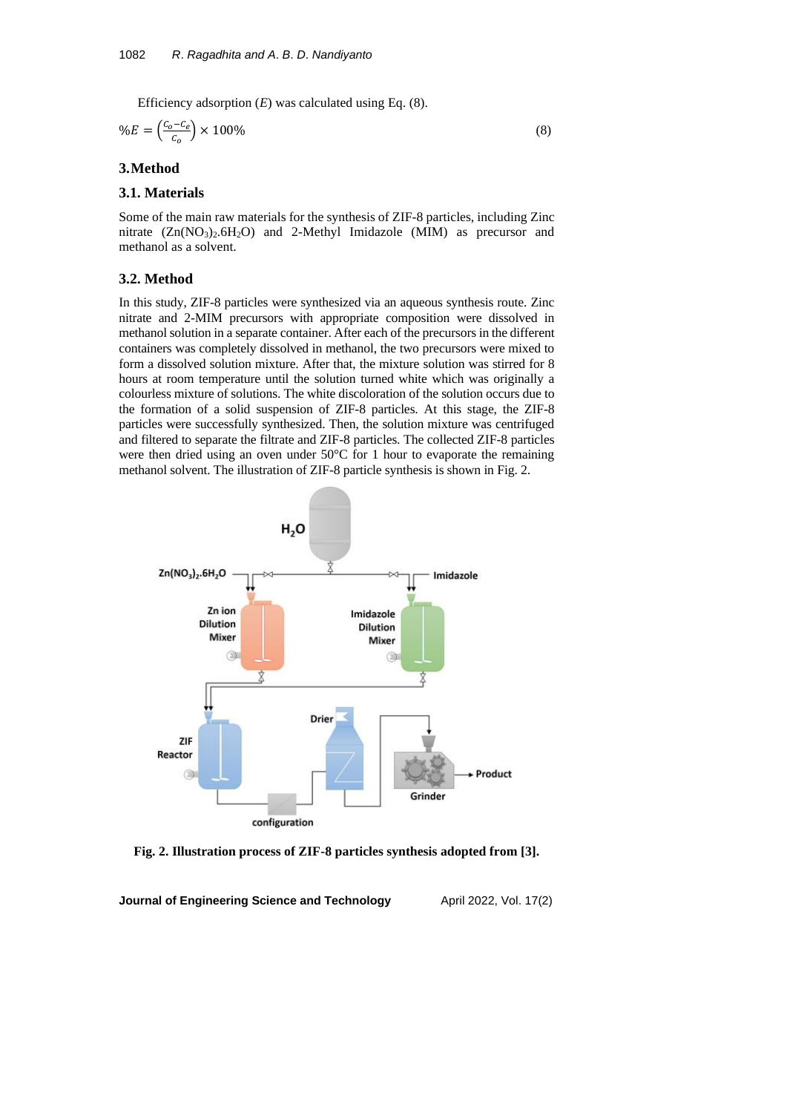Efficiency adsorption (*E*) was calculated using Eq. (8).

$$
\%E = \left(\frac{c_o - c_e}{c_o}\right) \times 100\%
$$
\n<sup>(8)</sup>

## **3.Method**

#### **3.1. Materials**

Some of the main raw materials for the synthesis of ZIF-8 particles, including Zinc nitrate  $(Zn(NO<sub>3</sub>)<sub>2</sub>6H<sub>2</sub>O)$  and 2-Methyl Imidazole (MIM) as precursor and methanol as a solvent.

#### **3.2. Method**

In this study, ZIF-8 particles were synthesized via an aqueous synthesis route. Zinc nitrate and 2-MIM precursors with appropriate composition were dissolved in methanol solution in a separate container. After each of the precursors in the different containers was completely dissolved in methanol, the two precursors were mixed to form a dissolved solution mixture. After that, the mixture solution was stirred for 8 hours at room temperature until the solution turned white which was originally a colourless mixture of solutions. The white discoloration of the solution occurs due to the formation of a solid suspension of ZIF-8 particles. At this stage, the ZIF-8 particles were successfully synthesized. Then, the solution mixture was centrifuged and filtered to separate the filtrate and ZIF-8 particles. The collected ZIF-8 particles were then dried using an oven under 50°C for 1 hour to evaporate the remaining methanol solvent. The illustration of ZIF-8 particle synthesis is shown in Fig. 2.



**Fig. 2. Illustration process of ZIF-8 particles synthesis adopted from [3].**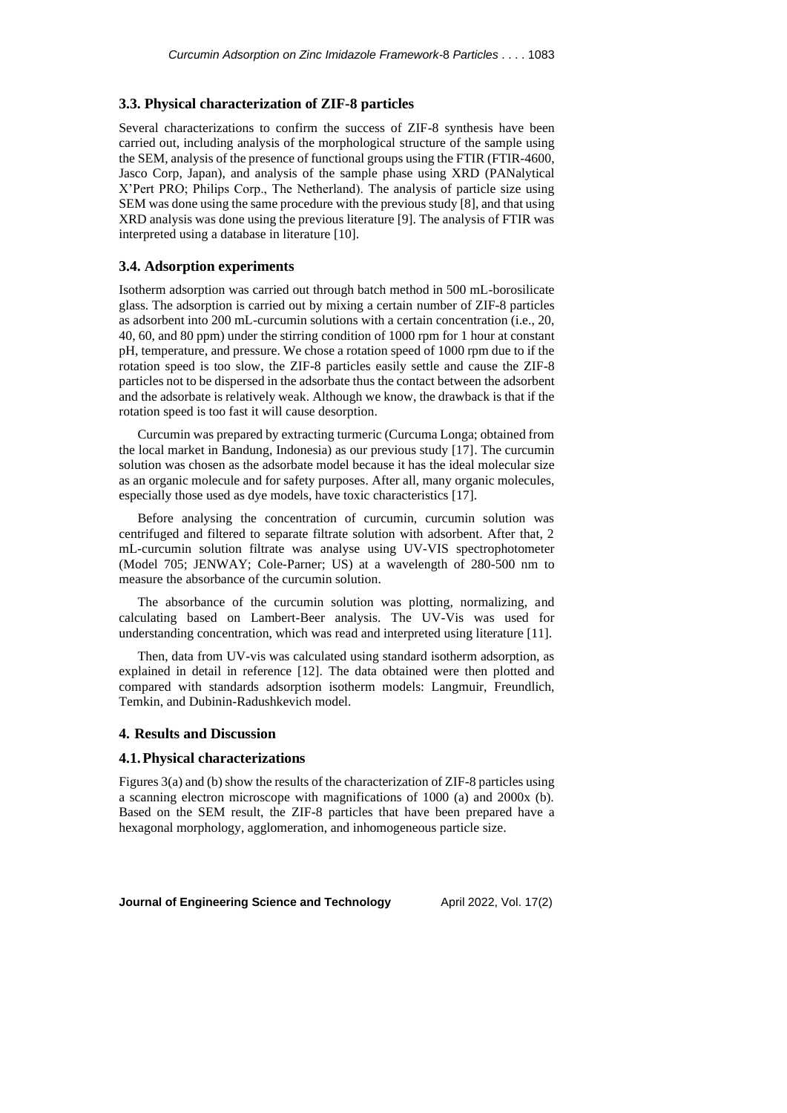#### **3.3. Physical characterization of ZIF-8 particles**

Several characterizations to confirm the success of ZIF-8 synthesis have been carried out, including analysis of the morphological structure of the sample using the SEM, analysis of the presence of functional groups using the FTIR (FTIR-4600, Jasco Corp, Japan), and analysis of the sample phase using XRD (PANalytical X'Pert PRO; Philips Corp., The Netherland). The analysis of particle size using SEM was done using the same procedure with the previous study [8], and that using XRD analysis was done using the previous literature [9]. The analysis of FTIR was interpreted using a database in literature [10].

## **3.4. Adsorption experiments**

Isotherm adsorption was carried out through batch method in 500 mL-borosilicate glass. The adsorption is carried out by mixing a certain number of ZIF-8 particles as adsorbent into 200 mL-curcumin solutions with a certain concentration (i.e., 20, 40, 60, and 80 ppm) under the stirring condition of 1000 rpm for 1 hour at constant pH, temperature, and pressure. We chose a rotation speed of 1000 rpm due to if the rotation speed is too slow, the ZIF-8 particles easily settle and cause the ZIF-8 particles not to be dispersed in the adsorbate thus the contact between the adsorbent and the adsorbate is relatively weak. Although we know, the drawback is that if the rotation speed is too fast it will cause desorption.

Curcumin was prepared by extracting turmeric (Curcuma Longa; obtained from the local market in Bandung, Indonesia) as our previous study [17]. The curcumin solution was chosen as the adsorbate model because it has the ideal molecular size as an organic molecule and for safety purposes. After all, many organic molecules, especially those used as dye models, have toxic characteristics [17].

Before analysing the concentration of curcumin, curcumin solution was centrifuged and filtered to separate filtrate solution with adsorbent. After that, 2 mL-curcumin solution filtrate was analyse using UV-VIS spectrophotometer (Model 705; JENWAY; Cole-Parner; US) at a wavelength of 280-500 nm to measure the absorbance of the curcumin solution.

The absorbance of the curcumin solution was plotting, normalizing, and calculating based on Lambert-Beer analysis. The UV-Vis was used for understanding concentration, which was read and interpreted using literature [11].

Then, data from UV-vis was calculated using standard isotherm adsorption, as explained in detail in reference [12]. The data obtained were then plotted and compared with standards adsorption isotherm models: Langmuir, Freundlich, Temkin, and Dubinin-Radushkevich model.

#### **4. Results and Discussion**

### **4.1.Physical characterizations**

Figures 3(a) and (b) show the results of the characterization of ZIF-8 particles using a scanning electron microscope with magnifications of 1000 (a) and 2000x (b). Based on the SEM result, the ZIF-8 particles that have been prepared have a hexagonal morphology, agglomeration, and inhomogeneous particle size.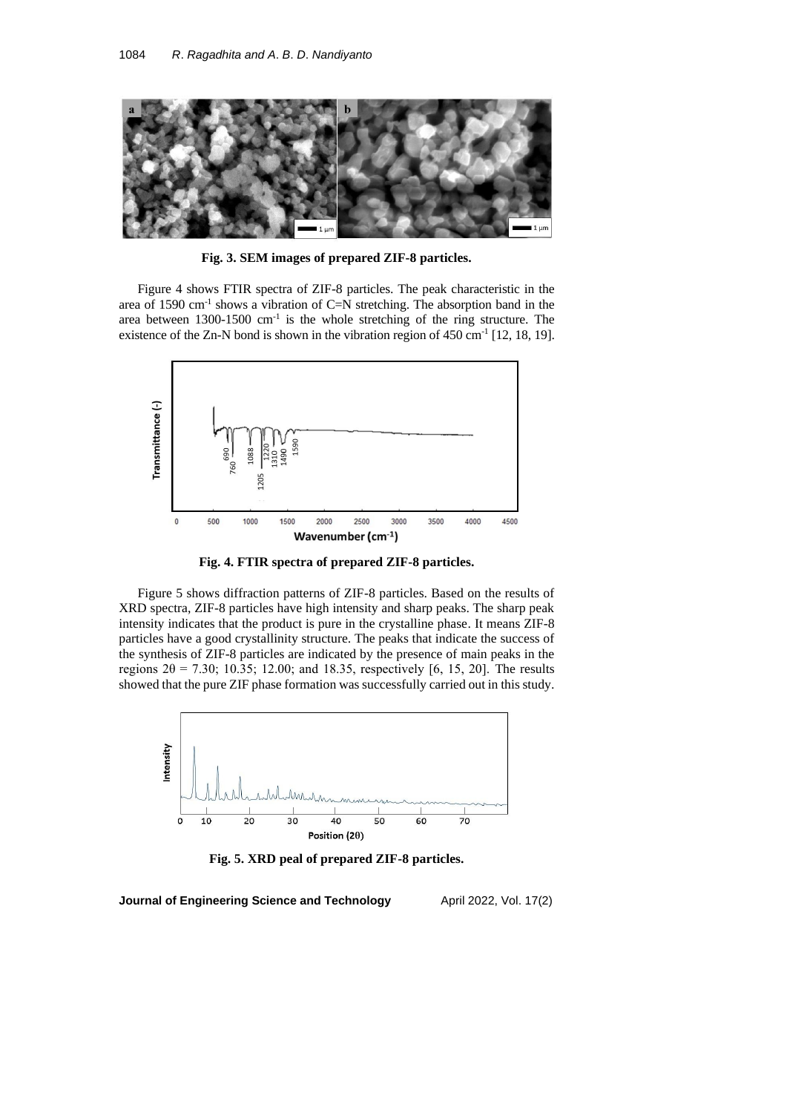

**Fig. 3. SEM images of prepared ZIF-8 particles.**

Figure 4 shows FTIR spectra of ZIF-8 particles. The peak characteristic in the area of 1590 cm-1 shows a vibration of C=N stretching. The absorption band in the area between  $1300-1500$  cm<sup>-1</sup> is the whole stretching of the ring structure. The existence of the Zn-N bond is shown in the vibration region of  $450 \text{ cm}^{-1}$  [12, 18, 19].



**Fig. 4. FTIR spectra of prepared ZIF-8 particles.**

Figure 5 shows diffraction patterns of ZIF-8 particles. Based on the results of XRD spectra, ZIF-8 particles have high intensity and sharp peaks. The sharp peak intensity indicates that the product is pure in the crystalline phase. It means ZIF-8 particles have a good crystallinity structure. The peaks that indicate the success of the synthesis of ZIF-8 particles are indicated by the presence of main peaks in the regions  $2θ = 7.30$ ; 10.35; 12.00; and 18.35, respectively [6, 15, 20]. The results showed that the pure ZIF phase formation was successfully carried out in this study.



**Fig. 5. XRD peal of prepared ZIF-8 particles.**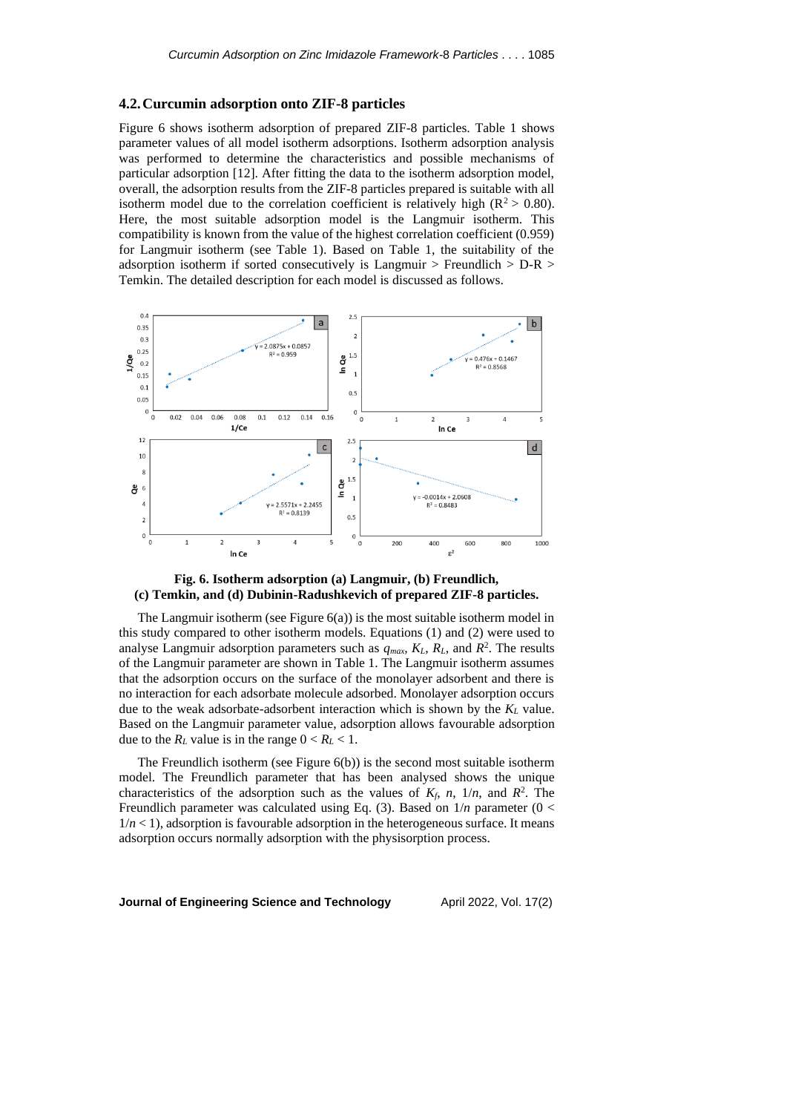#### **4.2.Curcumin adsorption onto ZIF-8 particles**

Figure 6 shows isotherm adsorption of prepared ZIF-8 particles. Table 1 shows parameter values of all model isotherm adsorptions. Isotherm adsorption analysis was performed to determine the characteristics and possible mechanisms of particular adsorption [12]. After fitting the data to the isotherm adsorption model, overall, the adsorption results from the ZIF-8 particles prepared is suitable with all isotherm model due to the correlation coefficient is relatively high ( $\mathbb{R}^2$  > 0.80). Here, the most suitable adsorption model is the Langmuir isotherm. This compatibility is known from the value of the highest correlation coefficient (0.959) for Langmuir isotherm (see Table 1). Based on Table 1, the suitability of the adsorption isotherm if sorted consecutively is Langmuir > Freundlich > D-R > Temkin. The detailed description for each model is discussed as follows.





The Langmuir isotherm (see Figure  $6(a)$ ) is the most suitable isotherm model in this study compared to other isotherm models. Equations (1) and (2) were used to analyse Langmuir adsorption parameters such as  $q_{max}$ ,  $K_L$ ,  $R_L$ , and  $R^2$ . The results of the Langmuir parameter are shown in Table 1. The Langmuir isotherm assumes that the adsorption occurs on the surface of the monolayer adsorbent and there is no interaction for each adsorbate molecule adsorbed. Monolayer adsorption occurs due to the weak adsorbate-adsorbent interaction which is shown by the *K<sup>L</sup>* value. Based on the Langmuir parameter value, adsorption allows favourable adsorption due to the  $R_L$  value is in the range  $0 < R_L < 1$ .

The Freundlich isotherm (see Figure 6(b)) is the second most suitable isotherm model. The Freundlich parameter that has been analysed shows the unique characteristics of the adsorption such as the values of  $K_f$ ,  $n$ ,  $1/n$ , and  $R^2$ . The Freundlich parameter was calculated using Eq. (3). Based on 1/*n* parameter (0 <  $1/n < 1$ , adsorption is favourable adsorption in the heterogeneous surface. It means adsorption occurs normally adsorption with the physisorption process.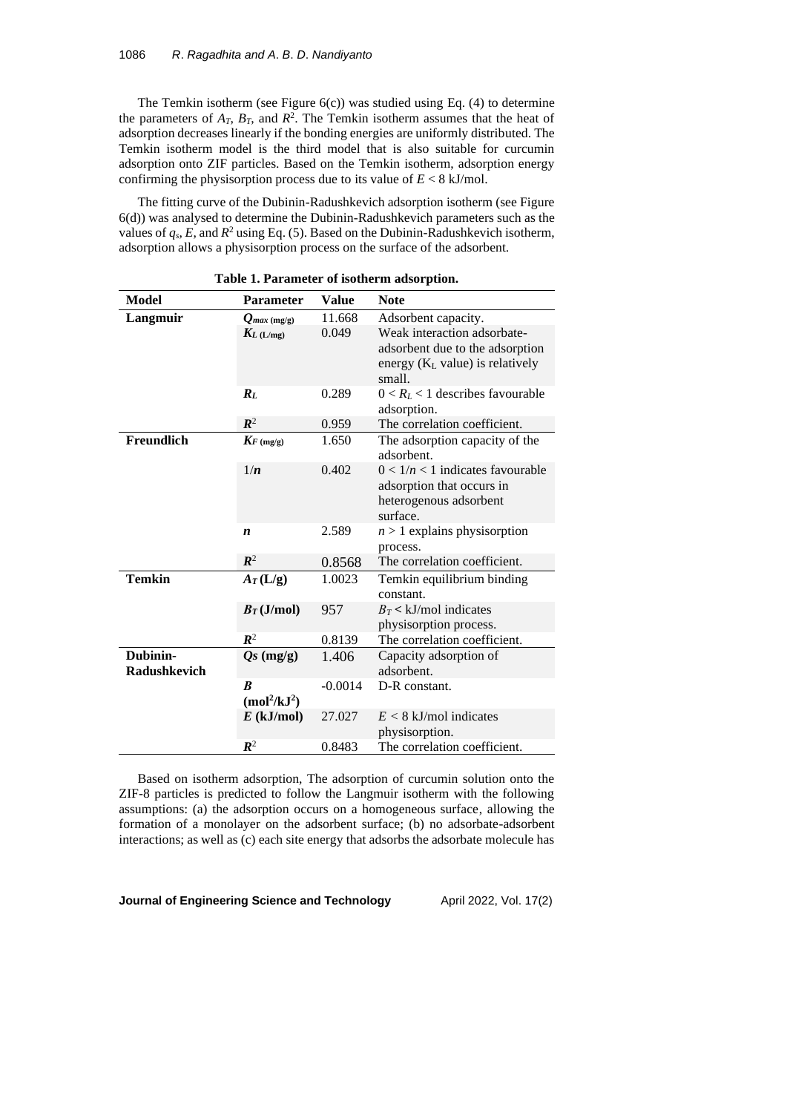The Temkin isotherm (see Figure  $6(c)$ ) was studied using Eq. (4) to determine the parameters of  $A_T$ ,  $B_T$ , and  $R^2$ . The Temkin isotherm assumes that the heat of adsorption decreases linearly if the bonding energies are uniformly distributed. The Temkin isotherm model is the third model that is also suitable for curcumin adsorption onto ZIF particles. Based on the Temkin isotherm, adsorption energy confirming the physisorption process due to its value of *E* < 8 kJ/mol.

The fitting curve of the Dubinin-Radushkevich adsorption isotherm (see Figure 6(d)) was analysed to determine the Dubinin-Radushkevich parameters such as the values of  $q_s$ ,  $E$ , and  $R^2$  using Eq. (5). Based on the Dubinin-Radushkevich isotherm, adsorption allows a physisorption process on the surface of the adsorbent.

| Model               | <b>Parameter</b>                     | Value     | <b>Note</b>                        |
|---------------------|--------------------------------------|-----------|------------------------------------|
| Langmuir            | $Q_{max}$ (mg/g)                     | 11.668    | Adsorbent capacity.                |
|                     | $K_L$ (L/mg)                         | 0.049     | Weak interaction adsorbate-        |
|                     |                                      |           | adsorbent due to the adsorption    |
|                     |                                      |           | energy $(K_L$ value) is relatively |
|                     |                                      |           | small.                             |
|                     | $R_L$                                | 0.289     | $0 < R_L < 1$ describes favourable |
|                     |                                      |           | adsorption.                        |
|                     | $\mathbb{R}^2$                       | 0.959     | The correlation coefficient.       |
| Freundlich          | $K_F$ (mg/g)                         | 1.650     | The adsorption capacity of the     |
|                     |                                      |           | adsorbent.                         |
|                     | 1/n                                  | 0.402     | $0 < 1/n < 1$ indicates favourable |
|                     |                                      |           | adsorption that occurs in          |
|                     |                                      |           | heterogenous adsorbent             |
|                     |                                      |           | surface.                           |
|                     | $\boldsymbol{n}$                     | 2.589     | $n > 1$ explains physisorption     |
|                     |                                      |           | process.                           |
|                     | $\mathbb{R}^2$                       | 0.8568    | The correlation coefficient.       |
| <b>Temkin</b>       | $A_T(L/g)$                           | 1.0023    | Temkin equilibrium binding         |
|                     |                                      |           | constant.                          |
|                     | $B_T(J/mol)$                         | 957       | $B_T < k$ J/mol indicates          |
|                     |                                      |           | physisorption process.             |
|                     | $\mathbb{R}^2$                       | 0.8139    | The correlation coefficient.       |
| Dubinin-            | $Qs$ (mg/g)                          | 1.406     | Capacity adsorption of             |
| <b>Radushkevich</b> |                                      |           | adsorbent.                         |
|                     | R                                    | $-0.0014$ | D-R constant.                      |
|                     | (mol <sup>2</sup> /kJ <sup>2</sup> ) |           |                                    |
|                     | $E$ (kJ/mol)                         | 27.027    | $E < 8$ kJ/mol indicates           |
|                     |                                      |           | physisorption.                     |
|                     | $\mathbb{R}^2$                       | 0.8483    | The correlation coefficient.       |

**Table 1. Parameter of isotherm adsorption.**

Based on isotherm adsorption, The adsorption of curcumin solution onto the ZIF-8 particles is predicted to follow the Langmuir isotherm with the following assumptions: (a) the adsorption occurs on a homogeneous surface, allowing the formation of a monolayer on the adsorbent surface; (b) no adsorbate-adsorbent interactions; as well as (c) each site energy that adsorbs the adsorbate molecule has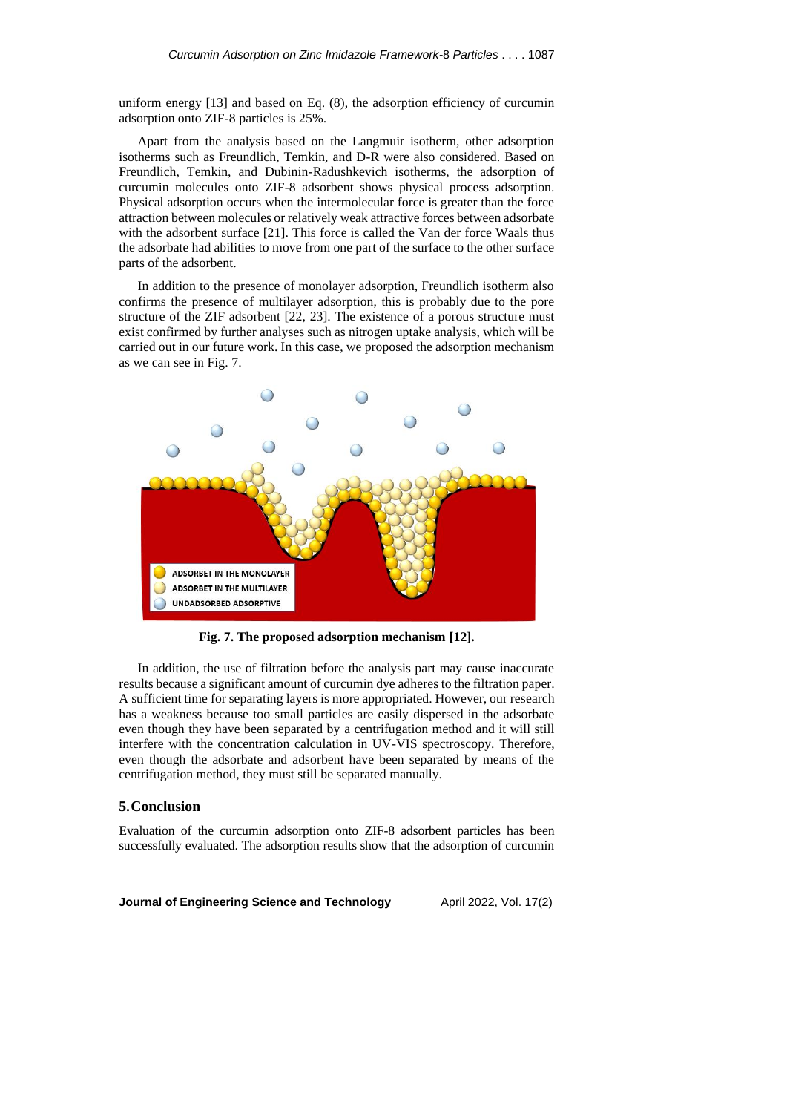uniform energy [13] and based on Eq. (8), the adsorption efficiency of curcumin adsorption onto ZIF-8 particles is 25%.

Apart from the analysis based on the Langmuir isotherm, other adsorption isotherms such as Freundlich, Temkin, and D-R were also considered. Based on Freundlich, Temkin, and Dubinin-Radushkevich isotherms, the adsorption of curcumin molecules onto ZIF-8 adsorbent shows physical process adsorption. Physical adsorption occurs when the intermolecular force is greater than the force attraction between molecules or relatively weak attractive forces between adsorbate with the adsorbent surface [21]. This force is called the Van der force Waals thus the adsorbate had abilities to move from one part of the surface to the other surface parts of the adsorbent.

In addition to the presence of monolayer adsorption, Freundlich isotherm also confirms the presence of multilayer adsorption, this is probably due to the pore structure of the ZIF adsorbent [22, 23]. The existence of a porous structure must exist confirmed by further analyses such as nitrogen uptake analysis, which will be carried out in our future work. In this case, we proposed the adsorption mechanism as we can see in Fig. 7.



**Fig. 7. The proposed adsorption mechanism [12].**

In addition, the use of filtration before the analysis part may cause inaccurate results because a significant amount of curcumin dye adheres to the filtration paper. A sufficient time for separating layers is more appropriated. However, our research has a weakness because too small particles are easily dispersed in the adsorbate even though they have been separated by a centrifugation method and it will still interfere with the concentration calculation in UV-VIS spectroscopy. Therefore, even though the adsorbate and adsorbent have been separated by means of the centrifugation method, they must still be separated manually.

#### **5.Conclusion**

Evaluation of the curcumin adsorption onto ZIF-8 adsorbent particles has been successfully evaluated. The adsorption results show that the adsorption of curcumin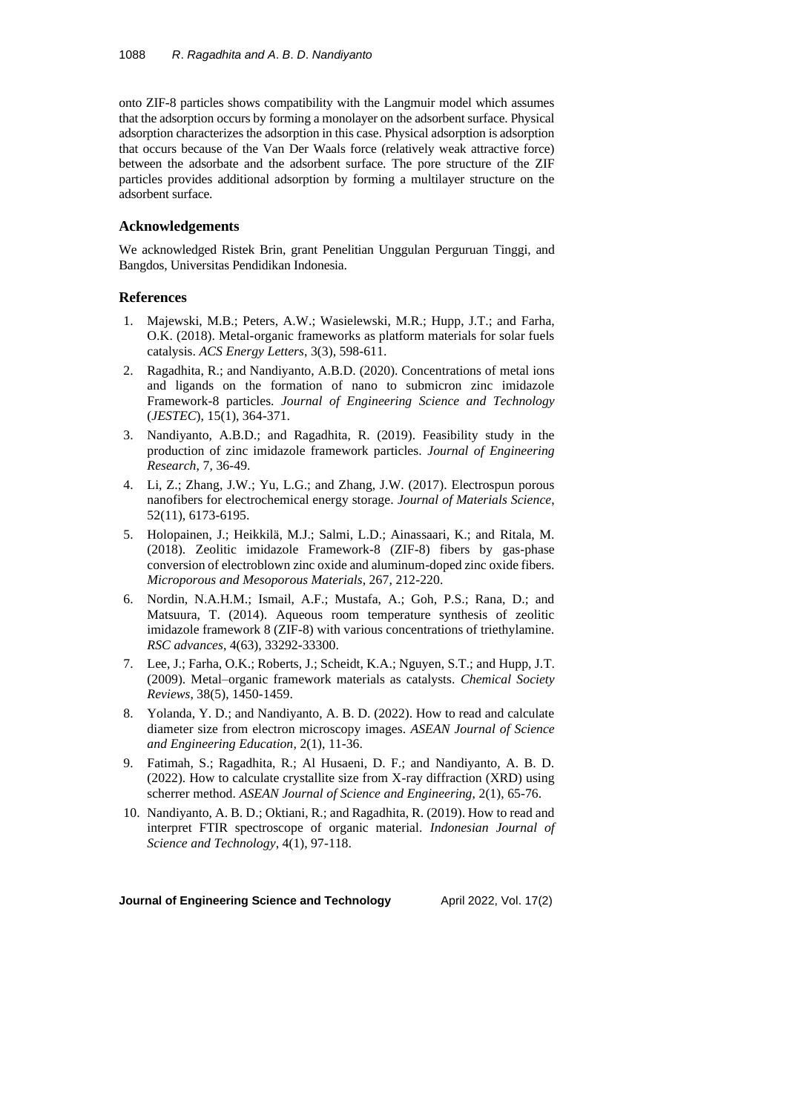onto ZIF-8 particles shows compatibility with the Langmuir model which assumes that the adsorption occurs by forming a monolayer on the adsorbent surface. Physical adsorption characterizes the adsorption in this case. Physical adsorption is adsorption that occurs because of the Van Der Waals force (relatively weak attractive force) between the adsorbate and the adsorbent surface. The pore structure of the ZIF particles provides additional adsorption by forming a multilayer structure on the adsorbent surface.

### **Acknowledgements**

We acknowledged Ristek Brin, grant Penelitian Unggulan Perguruan Tinggi, and Bangdos, Universitas Pendidikan Indonesia.

## **References**

- 1. Majewski, M.B.; Peters, A.W.; Wasielewski, M.R.; Hupp, J.T.; and Farha, O.K. (2018). Metal-organic frameworks as platform materials for solar fuels catalysis. *ACS Energy Letters*, 3(3), 598-611.
- 2. Ragadhita, R.; and Nandiyanto, A.B.D. (2020). Concentrations of metal ions and ligands on the formation of nano to submicron zinc imidazole Framework-8 particles. *Journal of Engineering Science and Technology* (*JESTEC*), 15(1), 364-371.
- 3. Nandiyanto, A.B.D.; and Ragadhita, R. (2019). Feasibility study in the production of zinc imidazole framework particles. *Journal of Engineering Research*, 7, 36-49.
- 4. Li, Z.; Zhang, J.W.; Yu, L.G.; and Zhang, J.W. (2017). Electrospun porous nanofibers for electrochemical energy storage. *Journal of Materials Science*, 52(11), 6173-6195.
- 5. Holopainen, J.; Heikkilä, M.J.; Salmi, L.D.; Ainassaari, K.; and Ritala, M. (2018). Zeolitic imidazole Framework-8 (ZIF-8) fibers by gas-phase conversion of electroblown zinc oxide and aluminum-doped zinc oxide fibers. *Microporous and Mesoporous Materials*, 267, 212-220.
- 6. Nordin, N.A.H.M.; Ismail, A.F.; Mustafa, A.; Goh, P.S.; Rana, D.; and Matsuura, T. (2014). Aqueous room temperature synthesis of zeolitic imidazole framework 8 (ZIF-8) with various concentrations of triethylamine. *RSC advances*, 4(63), 33292-33300.
- 7. Lee, J.; Farha, O.K.; Roberts, J.; Scheidt, K.A.; Nguyen, S.T.; and Hupp, J.T. (2009). Metal–organic framework materials as catalysts. *Chemical Society Reviews*, 38(5), 1450-1459.
- 8. Yolanda, Y. D.; and Nandiyanto, A. B. D. (2022). How to read and calculate diameter size from electron microscopy images. *ASEAN Journal of Science and Engineering Education*, 2(1), 11-36.
- 9. Fatimah, S.; Ragadhita, R.; Al Husaeni, D. F.; and Nandiyanto, A. B. D. (2022). How to calculate crystallite size from X-ray diffraction (XRD) using scherrer method. *ASEAN Journal of Science and Engineering*, 2(1), 65-76.
- 10. Nandiyanto, A. B. D.; Oktiani, R.; and Ragadhita, R. (2019). How to read and interpret FTIR spectroscope of organic material. *Indonesian Journal of Science and Technology*, 4(1), 97-118.